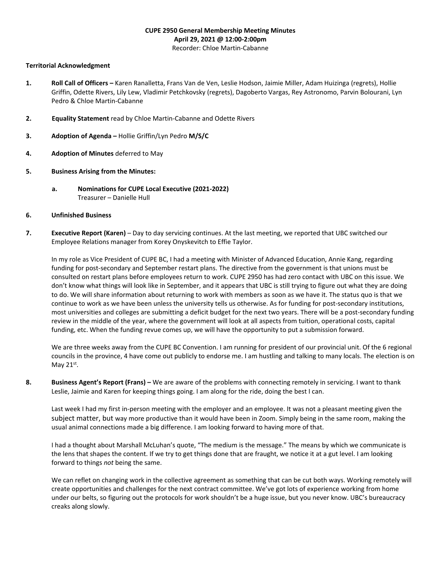# **CUPE 2950 General Membership Meeting Minutes April 29, 2021 @ 12:00-2:00pm**

#### Recorder: Chloe Martin-Cabanne

## **Territorial Acknowledgment**

- **1. Roll Call of Officers –** Karen Ranalletta, Frans Van de Ven, Leslie Hodson, Jaimie Miller, Adam Huizinga (regrets), Hollie Griffin, Odette Rivers, Lily Lew, Vladimir Petchkovsky (regrets), Dagoberto Vargas, Rey Astronomo, Parvin Bolourani, Lyn Pedro & Chloe Martin-Cabanne
- **2. Equality Statement** read by Chloe Martin-Cabanne and Odette Rivers
- **3. Adoption of Agenda –** Hollie Griffin/Lyn Pedro **M/S/C**
- **4. Adoption of Minutes** deferred to May
- **5. Business Arising from the Minutes:**
	- **a. Nominations for CUPE Local Executive (2021-2022)** Treasurer – Danielle Hull

#### **6. Unfinished Business**

**7. Executive Report (Karen)** – Day to day servicing continues. At the last meeting, we reported that UBC switched our Employee Relations manager from Korey Onyskevitch to Effie Taylor.

In my role as Vice President of CUPE BC, I had a meeting with Minister of Advanced Education, Annie Kang, regarding funding for post-secondary and September restart plans. The directive from the government is that unions must be consulted on restart plans before employees return to work. CUPE 2950 has had zero contact with UBC on this issue. We don't know what things will look like in September, and it appears that UBC is still trying to figure out what they are doing to do. We will share information about returning to work with members as soon as we have it. The status quo is that we continue to work as we have been unless the university tells us otherwise. As for funding for post-secondary institutions, most universities and colleges are submitting a deficit budget for the next two years. There will be a post-secondary funding review in the middle of the year, where the government will look at all aspects from tuition, operational costs, capital funding, etc. When the funding revue comes up, we will have the opportunity to put a submission forward.

We are three weeks away from the CUPE BC Convention. I am running for president of our provincial unit. Of the 6 regional councils in the province, 4 have come out publicly to endorse me. I am hustling and talking to many locals. The election is on May  $21^{st}$ .

**8. Business Agent's Report (Frans) –** We are aware of the problems with connecting remotely in servicing. I want to thank Leslie, Jaimie and Karen for keeping things going. I am along for the ride, doing the best I can.

Last week I had my first in-person meeting with the employer and an employee. It was not a pleasant meeting given the subject matter, but way more productive than it would have been in Zoom. Simply being in the same room, making the usual animal connections made a big difference. I am looking forward to having more of that.

I had a thought about Marshall McLuhan's quote, "The medium is the message." The means by which we communicate is the lens that shapes the content. If we try to get things done that are fraught, we notice it at a gut level. I am looking forward to things *not* being the same.

We can reflet on changing work in the collective agreement as something that can be cut both ways. Working remotely will create opportunities and challenges for the next contract committee. We've got lots of experience working from home under our belts, so figuring out the protocols for work shouldn't be a huge issue, but you never know. UBC's bureaucracy creaks along slowly.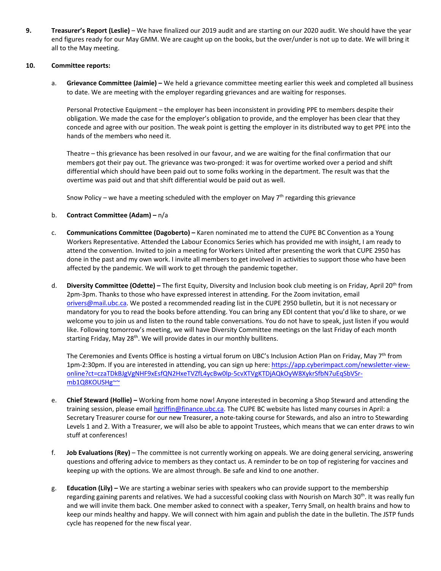**9. Treasurer's Report (Leslie)** – We have finalized our 2019 audit and are starting on our 2020 audit. We should have the year end figures ready for our May GMM. We are caught up on the books, but the over/under is not up to date. We will bring it all to the May meeting.

# **10. Committee reports:**

a. **Grievance Committee (Jaimie) –** We held a grievance committee meeting earlier this week and completed all business to date. We are meeting with the employer regarding grievances and are waiting for responses.

Personal Protective Equipment – the employer has been inconsistent in providing PPE to members despite their obligation. We made the case for the employer's obligation to provide, and the employer has been clear that they concede and agree with our position. The weak point is getting the employer in its distributed way to get PPE into the hands of the members who need it.

Theatre – this grievance has been resolved in our favour, and we are waiting for the final confirmation that our members got their pay out. The grievance was two-pronged: it was for overtime worked over a period and shift differential which should have been paid out to some folks working in the department. The result was that the overtime was paid out and that shift differential would be paid out as well.

Snow Policy – we have a meeting scheduled with the employer on May  $7<sup>th</sup>$  regarding this grievance

- b. **Contract Committee (Adam) –** n/a
- c. **Communications Committee (Dagoberto) –** Karen nominated me to attend the CUPE BC Convention as a Young Workers Representative. Attended the Labour Economics Series which has provided me with insight, I am ready to attend the convention. Invited to join a meeting for Workers United after presenting the work that CUPE 2950 has done in the past and my own work. I invite all members to get involved in activities to support those who have been affected by the pandemic. We will work to get through the pandemic together.
- d. **Diversity Committee (Odette) –** The first Equity, Diversity and Inclusion book club meeting is on Friday, April 20th from 2pm-3pm. Thanks to those who have expressed interest in attending. For the Zoom invitation, email [orivers@mail.ubc.ca.](mailto:orivers@mail.ubc.ca) We posted a recommended reading list in the CUPE 2950 bulletin, but it is not necessary or mandatory for you to read the books before attending. You can bring any EDI content that you'd like to share, or we welcome you to join us and listen to the round table conversations. You do not have to speak, just listen if you would like. Following tomorrow's meeting, we will have Diversity Committee meetings on the last Friday of each month starting Friday, May 28<sup>th</sup>. We will provide dates in our monthly bullitens.

The Ceremonies and Events Office is hosting a virtual forum on UBC's Inclusion Action Plan on Friday, May 7<sup>th</sup> from 1pm-2:30pm. If you are interested in attending, you can sign up here: [https://app.cyberimpact.com/newsletter-view](https://app.cyberimpact.com/newsletter-view-online?ct=czaTDkBJgVgNHF9xEsfQN2HxeTVZfL4ycBw0lp-5cvXTVgKTDjAQkOyW8XykrSfbN7uEqSbVSr-mb1Q8KOUSHg%7E%7E)[online?ct=czaTDkBJgVgNHF9xEsfQN2HxeTVZfL4ycBw0lp-5cvXTVgKTDjAQkOyW8XykrSfbN7uEqSbVSr](https://app.cyberimpact.com/newsletter-view-online?ct=czaTDkBJgVgNHF9xEsfQN2HxeTVZfL4ycBw0lp-5cvXTVgKTDjAQkOyW8XykrSfbN7uEqSbVSr-mb1Q8KOUSHg%7E%7E)[mb1Q8KOUSHg~~](https://app.cyberimpact.com/newsletter-view-online?ct=czaTDkBJgVgNHF9xEsfQN2HxeTVZfL4ycBw0lp-5cvXTVgKTDjAQkOyW8XykrSfbN7uEqSbVSr-mb1Q8KOUSHg%7E%7E)

- e. **Chief Steward (Hollie) –** Working from home now! Anyone interested in becoming a Shop Steward and attending the training session, please emai[l hgriffin@finance.ubc.ca.](mailto:hgriffin@finance.ubc.ca) The CUPE BC website has listed many courses in April: a Secretary Treasurer course for our new Treasurer, a note-taking course for Stewards, and also an intro to Stewarding Levels 1 and 2. With a Treasurer, we will also be able to appoint Trustees, which means that we can enter draws to win stuff at conferences!
- f. **Job Evaluations (Rey)** The committee is not currently working on appeals. We are doing general servicing, answering questions and offering advice to members as they contact us. A reminder to be on top of registering for vaccines and keeping up with the options. We are almost through. Be safe and kind to one another.
- g. **Education (Lily) –** We are starting a webinar series with speakers who can provide support to the membership regarding gaining parents and relatives. We had a successful cooking class with Nourish on March 30<sup>th</sup>. It was really fun and we will invite them back. One member asked to connect with a speaker, Terry Small, on health brains and how to keep our minds healthy and happy. We will connect with him again and publish the date in the bulletin. The JSTP funds cycle has reopened for the new fiscal year.